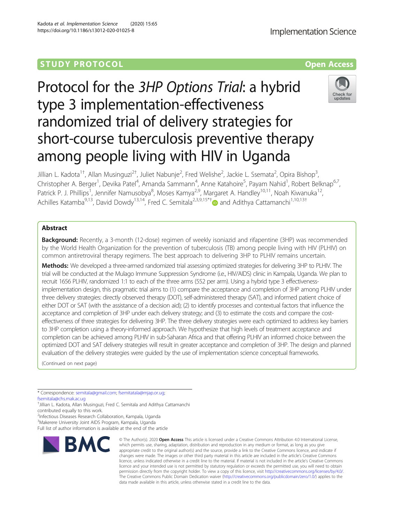# **STUDY PROTOCOL CONSUMING THE RESERVE ACCESS**

# Protocol for the 3HP Options Trial: a hybrid type 3 implementation-effectiveness randomized trial of delivery strategies for short-course tuberculosis preventive therapy among people living with HIV in Uganda

Jillian L. Kadota<sup>1†</sup>, Allan Musinguzi<sup>2†</sup>, Juliet Nabunje<sup>2</sup>, Fred Welishe<sup>2</sup>, Jackie L. Ssemata<sup>2</sup>, Opira Bishop<sup>3</sup> , Christopher A. Berger<sup>1</sup>, Devika Patel<sup>4</sup>, Amanda Sammann<sup>4</sup>, Anne Katahoire<sup>5</sup>, Payam Nahid<sup>1</sup>, Robert Belknap<sup>6,7</sup>, Patrick P. J. Phillips<sup>1</sup>, Jennifer Namusobya<sup>8</sup>, Moses Kamya<sup>2,9</sup>, Margaret A. Handley<sup>10,11</sup>, Noah Kiwanuka<sup>12</sup>, Achilles Katamba<sup>9,13</sup>, David Dowdy<sup>13,14</sup>, Fred C. Semitala<sup>2,3,9,15\*†</sup> and Adithya Cattamanchi<sup>1,10,13†</sup>

## Abstract

**Background:** Recently, a 3-month (12-dose) regimen of weekly isoniazid and rifapentine (3HP) was recommended by the World Health Organization for the prevention of tuberculosis (TB) among people living with HIV (PLHIV) on common antiretroviral therapy regimens. The best approach to delivering 3HP to PLHIV remains uncertain.

Methods: We developed a three-armed randomized trial assessing optimized strategies for delivering 3HP to PLHIV. The trial will be conducted at the Mulago Immune Suppression Syndrome (i.e., HIV/AIDS) clinic in Kampala, Uganda. We plan to recruit 1656 PLHIV, randomized 1:1 to each of the three arms (552 per arm). Using a hybrid type 3 effectivenessimplementation design, this pragmatic trial aims to (1) compare the acceptance and completion of 3HP among PLHIV under three delivery strategies: directly observed therapy (DOT), self-administered therapy (SAT), and informed patient choice of either DOT or SAT (with the assistance of a decision aid); (2) to identify processes and contextual factors that influence the acceptance and completion of 3HP under each delivery strategy; and (3) to estimate the costs and compare the costeffectiveness of three strategies for delivering 3HP. The three delivery strategies were each optimized to address key barriers to 3HP completion using a theory-informed approach. We hypothesize that high levels of treatment acceptance and completion can be achieved among PLHIV in sub-Saharan Africa and that offering PLHIV an informed choice between the optimized DOT and SAT delivery strategies will result in greater acceptance and completion of 3HP. The design and planned evaluation of the delivery strategies were guided by the use of implementation science conceptual frameworks.

(Continued on next page)

\* Correspondence: [semitala@gmail.com;](mailto:semitala@gmail.com) [fsemitatala@mjap.or.ug](mailto:fsemitatala@mjap.or.ug);

[fsemitala@chs.mak.ac.ug](mailto:fsemitala@chs.mak.ac.ug)

† Jillian L. Kadota, Allan Musinguzi, Fred C. Semitala and Adithya Cattamanchi contributed equally to this work.

<sup>2</sup>Infectious Diseases Research Collaboration, Kampala, Uganda

BMC

3 Makerere University Joint AIDS Program, Kampala, Uganda

Full list of author information is available at the end of the article

## Kadota et al. Implementation Science (2020) 15:65 https://doi.org/10.1186/s13012-020-01025-8

data made available in this article, unless otherwise stated in a credit line to the data.

© The Author(s), 2020 **Open Access** This article is licensed under a Creative Commons Attribution 4.0 International License, which permits use, sharing, adaptation, distribution and reproduction in any medium or format, as long as you give appropriate credit to the original author(s) and the source, provide a link to the Creative Commons licence, and indicate if changes were made. The images or other third party material in this article are included in the article's Creative Commons licence, unless indicated otherwise in a credit line to the material. If material is not included in the article's Creative Commons licence and your intended use is not permitted by statutory regulation or exceeds the permitted use, you will need to obtain permission directly from the copyright holder. To view a copy of this licence, visit [http://creativecommons.org/licenses/by/4.0/.](http://creativecommons.org/licenses/by/4.0/) The Creative Commons Public Domain Dedication waiver [\(http://creativecommons.org/publicdomain/zero/1.0/](http://creativecommons.org/publicdomain/zero/1.0/)) applies to the

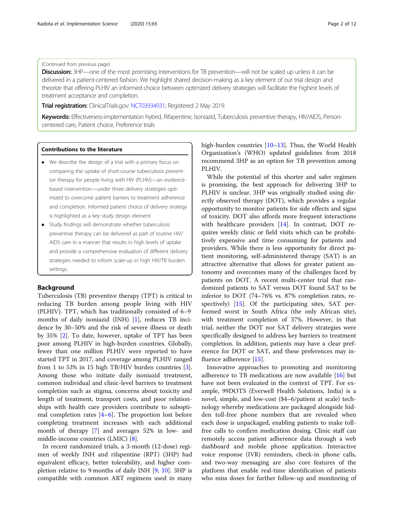## (Continued from previous page)

Discussion: 3HP—one of the most promising interventions for TB prevention—will not be scaled up unless it can be delivered in a patient-centered fashion. We highlight shared decision-making as a key element of our trial design and theorize that offering PLHIV an informed choice between optimized delivery strategies will facilitate the highest levels of treatment acceptance and completion.

**Trial registration:** ClinicalTrials.gov: [NCT03934931;](https://clinicaltrials.gov/ct2/show/NCT03934931) Registered 2 May 2019.

Keywords: Effectiveness-implementation hybrid, Rifapentine, Isoniazid, Tuberculosis preventive therapy, HIV/AIDS, Personcentered care, Patient choice, Preference trials

### Contributions to the literature

- We describe the design of a trial with a primary focus on comparing the uptake of short-course tuberculosis preventive therapy for people living with HIV (PLHIV)—an evidencebased intervention—under three delivery strategies optimized to overcome patient barriers to treatment adherence and completion. Informed patient choice of delivery strategy is highlighted as a key study design element.
- Study findings will demonstrate whether tuberculosis preventive therapy can be delivered as part of routine HIV/ AIDS care in a manner that results in high levels of uptake and provide a comprehensive evaluation of different delivery strategies needed to inform scale-up in high HIV/TB burden settings.

## Background

Tuberculosis (TB) preventive therapy (TPT) is critical to reducing TB burden among people living with HIV (PLHIV). TPT, which has traditionally consisted of 6–9 months of daily isoniazid (INH) [\[1](#page-11-0)], reduces TB incidence by 30–50% and the risk of severe illness or death by 35% [\[2\]](#page-11-0). To date, however, uptake of TPT has been poor among PLHIV in high-burden countries. Globally, fewer than one million PLHIV were reported to have started TPT in 2017, and coverage among PLHIV ranged from 1 to 53% in 15 high TB/HIV burden countries [\[3](#page-11-0)]. Among those who initiate daily isoniazid treatment, common individual and clinic-level barriers to treatment completion such as stigma, concerns about toxicity and length of treatment, transport costs, and poor relationships with health care providers contribute to suboptimal completion rates [[4](#page-11-0)–[6](#page-11-0)]. The proportion lost before completing treatment increases with each additional month of therapy [\[7](#page-11-0)] and averages 52% in low- and middle-income countries (LMIC) [\[8](#page-11-0)].

In recent randomized trials, a 3-month (12-dose) regimen of weekly INH and rifapentine (RPT) (3HP) had equivalent efficacy, better tolerability, and higher completion relative to 9 months of daily INH [[9,](#page-11-0) [10\]](#page-11-0). 3HP is compatible with common ART regimens used in many high-burden countries [\[10](#page-11-0)–[13](#page-11-0)]. Thus, the World Health Organization's (WHO) updated guidelines from 2018 recommend 3HP as an option for TB prevention among PLHIV.

While the potential of this shorter and safer regimen is promising, the best approach for delivering 3HP to PLHIV is unclear. 3HP was originally studied using directly observed therapy (DOT), which provides a regular opportunity to monitor patients for side effects and signs of toxicity. DOT also affords more frequent interactions with healthcare providers [\[14](#page-11-0)]. In contrast, DOT requires weekly clinic or field visits which can be prohibitively expensive and time consuming for patients and providers. While there is less opportunity for direct patient monitoring, self-administered therapy (SAT) is an attractive alternative that allows for greater patient autonomy and overcomes many of the challenges faced by patients on DOT. A recent multi-center trial that randomized patients to SAT versus DOT found SAT to be inferior to DOT (74–76% vs. 87% completion rates, respectively) [[15](#page-11-0)]. Of the participating sites, SAT performed worst in South Africa (the only African site), with treatment completion of 37%. However, in that trial, neither the DOT nor SAT delivery strategies were specifically designed to address key barriers to treatment completion. In addition, patients may have a clear preference for DOT or SAT, and these preferences may influence adherence [[15\]](#page-11-0).

Innovative approaches to promoting and monitoring adherence to TB medications are now available [\[16](#page-11-0)] but have not been evaluated in the context of TPT. For example, 99DOTS (Everwell Health Solutions, India) is a novel, simple, and low-cost (\$4–6/patient at scale) technology whereby medications are packaged alongside hidden toll-free phone numbers that are revealed when each dose is unpackaged, enabling patients to make tollfree calls to confirm medication dosing. Clinic staff can remotely access patient adherence data through a web dashboard and mobile phone application. Interactive voice response (IVR) reminders, check-in phone calls, and two-way messaging are also core features of the platform that enable real-time identification of patients who miss doses for further follow-up and monitoring of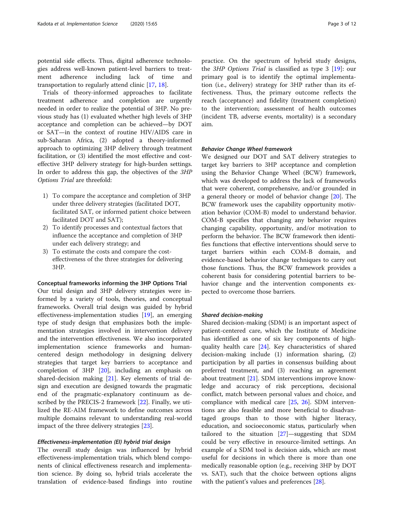potential side effects. Thus, digital adherence technologies address well-known patient-level barriers to treatment adherence including lack of time and transportation to regularly attend clinic [\[17](#page-11-0), [18](#page-11-0)].

Trials of theory-informed approaches to facilitate treatment adherence and completion are urgently needed in order to realize the potential of 3HP. No previous study has (1) evaluated whether high levels of 3HP acceptance and completion can be achieved—by DOT or SAT—in the context of routine HIV/AIDS care in sub-Saharan Africa, (2) adopted a theory-informed approach to optimizing 3HP delivery through treatment facilitation, or (3) identified the most effective and costeffective 3HP delivery strategy for high-burden settings. In order to address this gap, the objectives of the 3HP Options Trial are threefold:

- 1) To compare the acceptance and completion of 3HP under three delivery strategies (facilitated DOT, facilitated SAT, or informed patient choice between facilitated DOT and SAT);
- 2) To identify processes and contextual factors that influence the acceptance and completion of 3HP under each delivery strategy; and
- 3) To estimate the costs and compare the costeffectiveness of the three strategies for delivering 3HP.

#### Conceptual frameworks informing the 3HP Options Trial

Our trial design and 3HP delivery strategies were informed by a variety of tools, theories, and conceptual frameworks. Overall trial design was guided by hybrid effectiveness-implementation studies [\[19](#page-11-0)], an emerging type of study design that emphasizes both the implementation strategies involved in intervention delivery and the intervention effectiveness. We also incorporated implementation science frameworks and humancentered design methodology in designing delivery strategies that target key barriers to acceptance and completion of 3HP [\[20](#page-11-0)], including an emphasis on shared-decision making [\[21\]](#page-11-0). Key elements of trial design and execution are designed towards the pragmatic end of the pragmatic-explanatory continuum as described by the PRECIS-2 framework [\[22](#page-11-0)]. Finally, we utilized the RE-AIM framework to define outcomes across multiple domains relevant to understanding real-world impact of the three delivery strategies [[23\]](#page-11-0).

## Effectiveness-implementation (EI) hybrid trial design

The overall study design was influenced by hybrid effectiveness-implementation trials, which blend components of clinical effectiveness research and implementation science. By doing so, hybrid trials accelerate the translation of evidence-based findings into routine practice. On the spectrum of hybrid study designs, the 3HP Options Trial is classified as type 3 [[19\]](#page-11-0): our primary goal is to identify the optimal implementation (i.e., delivery) strategy for 3HP rather than its effectiveness. Thus, the primary outcome reflects the reach (acceptance) and fidelity (treatment completion) to the intervention; assessment of health outcomes (incident TB, adverse events, mortality) is a secondary aim.

#### Behavior Change Wheel framework

We designed our DOT and SAT delivery strategies to target key barriers to 3HP acceptance and completion using the Behavior Change Wheel (BCW) framework, which was developed to address the lack of frameworks that were coherent, comprehensive, and/or grounded in a general theory or model of behavior change [\[20](#page-11-0)]. The BCW framework uses the capability opportunity motivation behavior (COM-B) model to understand behavior. COM-B specifies that changing any behavior requires changing capability, opportunity, and/or motivation to perform the behavior. The BCW framework then identifies functions that effective interventions should serve to target barriers within each COM-B domain, and evidence-based behavior change techniques to carry out those functions. Thus, the BCW framework provides a coherent basis for considering potential barriers to behavior change and the intervention components expected to overcome those barriers.

#### Shared decision-making

Shared decision-making (SDM) is an important aspect of patient-centered care, which the Institute of Medicine has identified as one of six key components of highquality health care  $[24]$  $[24]$ . Key characteristics of shared decision-making include (1) information sharing, (2) participation by all parties in consensus building about preferred treatment, and (3) reaching an agreement about treatment [[21\]](#page-11-0). SDM interventions improve knowledge and accuracy of risk perceptions, decisional conflict, match between personal values and choice, and compliance with medical care  $[25, 26]$  $[25, 26]$  $[25, 26]$ . SDM interventions are also feasible and more beneficial to disadvantaged groups than to those with higher literacy, education, and socioeconomic status, particularly when tailored to the situation [\[27\]](#page-11-0)—suggesting that SDM could be very effective in resource-limited settings. An example of a SDM tool is decision aids, which are most useful for decisions in which there is more than one medically reasonable option (e.g., receiving 3HP by DOT vs. SAT), such that the choice between options aligns with the patient's values and preferences [[28\]](#page-11-0).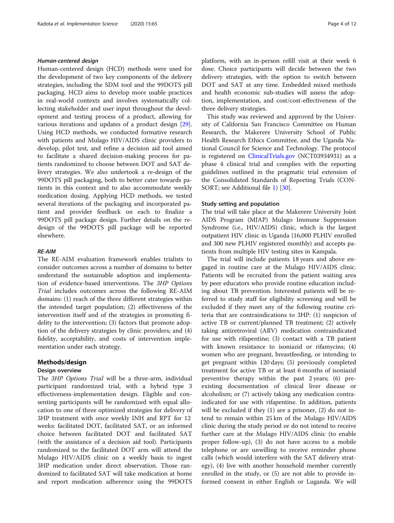#### Human-centered design

Human-centered design (HCD) methods were used for the development of two key components of the delivery strategies, including the SDM tool and the 99DOTS pill packaging. HCD aims to develop more usable practices in real-world contexts and involves systematically collecting stakeholder and user input throughout the development and testing process of a product, allowing for various iterations and updates of a product design [\[29](#page-11-0)]. Using HCD methods, we conducted formative research with patients and Mulago HIV/AIDS clinic providers to develop, pilot test, and refine a decision aid tool aimed to facilitate a shared decision-making process for patients randomized to choose between DOT and SAT delivery strategies. We also undertook a re-design of the 99DOTS pill packaging, both to better cater towards patients in this context and to also accommodate weekly medication dosing. Applying HCD methods, we tested several iterations of the packaging and incorporated patient and provider feedback on each to finalize a 99DOTS pill package design. Further details on the redesign of the 99DOTS pill package will be reported elsewhere.

## RE-AIM

The RE-AIM evaluation framework enables trialists to consider outcomes across a number of domains to better understand the sustainable adoption and implementation of evidence-based interventions. The 3HP Options Trial includes outcomes across the following RE-AIM domains: (1) reach of the three different strategies within the intended target population; (2) effectiveness of the intervention itself and of the strategies in promoting fidelity to the intervention; (3) factors that promote adoption of the delivery strategies by clinic providers; and (4) fidelity, acceptability, and costs of intervention implementation under each strategy.

#### Methods/design

#### Design overview

The 3HP Options Trial will be a three-arm, individual participant randomized trial, with a hybrid type 3 effectiveness-implementation design. Eligible and consenting participants will be randomized with equal allocation to one of three optimized strategies for delivery of 3HP treatment with once weekly INH and RPT for 12 weeks: facilitated DOT, facilitated SAT, or an informed choice between facilitated DOT and facilitated SAT (with the assistance of a decision aid tool). Participants randomized to the facilitated DOT arm will attend the Mulago HIV/AIDS clinic on a weekly basis to ingest 3HP medication under direct observation. Those randomized to facilitated SAT will take medication at home and report medication adherence using the 99DOTS platform, with an in-person refill visit at their week 6 dose. Choice participants will decide between the two delivery strategies, with the option to switch between DOT and SAT at any time. Embedded mixed methods and health economic sub-studies will assess the adoption, implementation, and cost/cost-effectiveness of the three delivery strategies.

This study was reviewed and approved by the University of California San Francisco Committee on Human Research, the Makerere University School of Public Health Research Ethics Committee, and the Uganda National Council for Science and Technology. The protocol is registered on [ClinicalTrials.gov](http://clinicaltrials.gov) (NCT03934931) as a phase 4 clinical trial and complies with the reporting guidelines outlined in the pragmatic trial extension of the Consolidated Standards of Reporting Trials (CON-SORT; see Additional file [1\)](#page-10-0) [\[30](#page-11-0)].

#### Study setting and population

The trial will take place at the Makerere University Joint AIDS Program (MJAP) Mulago Immune Suppression Syndrome (i.e., HIV/AIDS) clinic, which is the largest outpatient HIV clinic in Uganda (16,000 PLHIV enrolled and 300 new PLHIV registered monthly) and accepts patients from multiple HIV testing sites in Kampala.

The trial will include patients 18 years and above engaged in routine care at the Mulago HIV/AIDS clinic. Patients will be recruited from the patient waiting area by peer educators who provide routine education including about TB prevention. Interested patients will be referred to study staff for eligibility screening and will be excluded if they meet any of the following routine criteria that are contraindications to 3HP: (1) suspicion of active TB or current/planned TB treatment; (2) actively taking antiretroviral (ARV) medication contraindicated for use with rifapentine; (3) contact with a TB patient with known resistance to isoniazid or rifamycins; (4) women who are pregnant, breastfeeding, or intending to get pregnant within 120 days; (5) previously completed treatment for active TB or at least 6 months of isoniazid preventive therapy within the past 2 years; (6) preexisting documentation of clinical liver disease or alcoholism; or (7) actively taking any medication contraindicated for use with rifapentine. In addition, patients will be excluded if they (1) are a prisoner, (2) do not intend to remain within 25 km of the Mulago HIV/AIDS clinic during the study period or do not intend to receive further care at the Mulago HIV/AIDS clinic (to enable proper follow-up), (3) do not have access to a mobile telephone or are unwilling to receive reminder phone calls (which would interfere with the SAT delivery strategy), (4) live with another household member currently enrolled in the study, or (5) are not able to provide informed consent in either English or Luganda. We will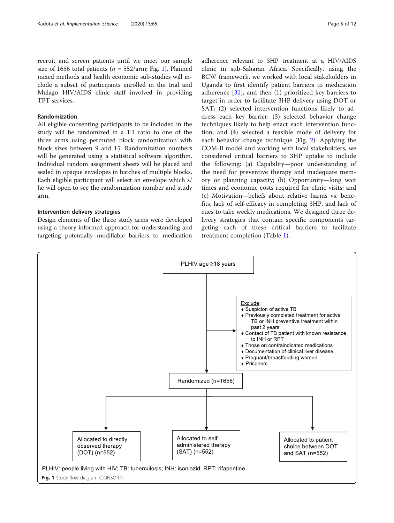recruit and screen patients until we meet our sample size of 1656 total patients ( $n = 552/arm$ ; Fig. 1). Planned mixed methods and health economic sub-studies will include a subset of participants enrolled in the trial and Mulago HIV/AIDS clinic staff involved in providing TPT services.

#### Randomization

All eligible consenting participants to be included in the study will be randomized in a 1:1 ratio to one of the three arms using permuted block randomization with block sizes between 9 and 15. Randomization numbers will be generated using a statistical software algorithm. Individual random assignment sheets will be placed and sealed in opaque envelopes in batches of multiple blocks. Each eligible participant will select an envelope which s/ he will open to see the randomization number and study arm.

## Intervention delivery strategies

Design elements of the three study arms were developed using a theory-informed approach for understanding and targeting potentially modifiable barriers to medication adherence relevant to 3HP treatment at a HIV/AIDS clinic in sub-Saharan Africa. Specifically, using the BCW framework, we worked with local stakeholders in Uganda to first identify patient barriers to medication adherence  $[31]$  $[31]$  $[31]$ , and then  $(1)$  prioritized key barriers to target in order to facilitate 3HP delivery using DOT or SAT; (2) selected intervention functions likely to address each key barrier; (3) selected behavior change techniques likely to help enact each intervention function; and (4) selected a feasible mode of delivery for each behavior change technique (Fig. [2\)](#page-5-0). Applying the COM-B model and working with local stakeholders, we considered critical barriers to 3HP uptake to include the following: (a) Capability—poor understanding of the need for preventive therapy and inadequate memory or planning capacity; (b) Opportunity—long wait times and economic costs required for clinic visits; and (c) Motivation—beliefs about relative harms vs. benefits, lack of self-efficacy in completing 3HP, and lack of cues to take weekly medications. We designed three delivery strategies that contain specific components targeting each of these critical barriers to facilitate treatment completion (Table [1](#page-6-0)).

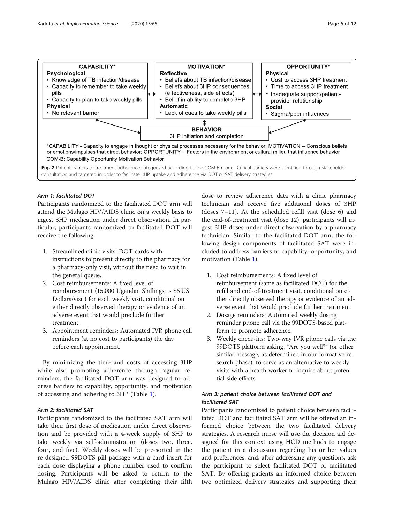<span id="page-5-0"></span>

## Arm 1: facilitated DOT

Participants randomized to the facilitated DOT arm will attend the Mulago HIV/AIDS clinic on a weekly basis to ingest 3HP medication under direct observation. In particular, participants randomized to facilitated DOT will receive the following:

- 1. Streamlined clinic visits: DOT cards with instructions to present directly to the pharmacy for a pharmacy-only visit, without the need to wait in the general queue.
- 2. Cost reimbursements: A fixed level of reimbursement (15,000 Ugandan Shillings;  $\sim$  \$5 US Dollars/visit) for each weekly visit, conditional on either directly observed therapy or evidence of an adverse event that would preclude further treatment.
- 3. Appointment reminders: Automated IVR phone call reminders (at no cost to participants) the day before each appointment.

By minimizing the time and costs of accessing 3HP while also promoting adherence through regular reminders, the facilitated DOT arm was designed to address barriers to capability, opportunity, and motivation of accessing and adhering to 3HP (Table [1](#page-6-0)).

## Arm 2: facilitated SAT

Participants randomized to the facilitated SAT arm will take their first dose of medication under direct observation and be provided with a 4-week supply of 3HP to take weekly via self-administration (doses two, three, four, and five). Weekly doses will be pre-sorted in the re-designed 99DOTS pill package with a card insert for each dose displaying a phone number used to confirm dosing. Participants will be asked to return to the Mulago HIV/AIDS clinic after completing their fifth dose to review adherence data with a clinic pharmacy technician and receive five additional doses of 3HP (doses 7–11). At the scheduled refill visit (dose 6) and the end-of-treatment visit (dose 12), participants will ingest 3HP doses under direct observation by a pharmacy technician. Similar to the facilitated DOT arm, the following design components of facilitated SAT were included to address barriers to capability, opportunity, and motivation (Table [1\)](#page-6-0):

- 1. Cost reimbursements: A fixed level of reimbursement (same as facilitated DOT) for the refill and end-of-treatment visit, conditional on either directly observed therapy or evidence of an adverse event that would preclude further treatment.
- 2. Dosage reminders: Automated weekly dosing reminder phone call via the 99DOTS-based platform to promote adherence.
- 3. Weekly check-ins: Two-way IVR phone calls via the 99DOTS platform asking, "Are you well?" (or other similar message, as determined in our formative research phase), to serve as an alternative to weekly visits with a health worker to inquire about potential side effects.

## Arm 3: patient choice between facilitated DOT and facilitated SAT

Participants randomized to patient choice between facilitated DOT and facilitated SAT arm will be offered an informed choice between the two facilitated delivery strategies. A research nurse will use the decision aid designed for this context using HCD methods to engage the patient in a discussion regarding his or her values and preferences, and, after addressing any questions, ask the participant to select facilitated DOT or facilitated SAT. By offering patients an informed choice between two optimized delivery strategies and supporting their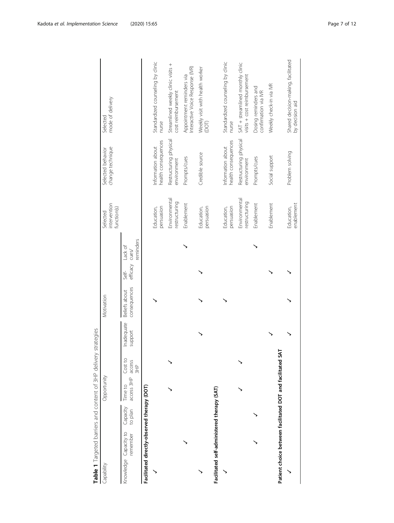<span id="page-6-0"></span>

| Table 1 Targeted barriers and content of 3HP delivery      |          |                     |                       |                                    | strategies            |                               |                         |                     |                                         |                                          |                                                                 |
|------------------------------------------------------------|----------|---------------------|-----------------------|------------------------------------|-----------------------|-------------------------------|-------------------------|---------------------|-----------------------------------------|------------------------------------------|-----------------------------------------------------------------|
| Capability                                                 |          |                     | Opportunity           |                                    |                       | Motivation                    |                         |                     | intervention<br>function(s)<br>Selected | change technique<br>Selected behavior    | mode of delivery<br>Selected                                    |
| Knowledge Capacity to                                      | remember | Capacity<br>to plan | access 3HP<br>Time to | Cost to<br>access<br>$\frac{4}{3}$ | Inadequate<br>support | consequences<br>Beliefs about | efficacy cues/<br>Self- | eminders<br>Lack of |                                         |                                          |                                                                 |
| Facilitated directly-observed therapy (DOT)                |          |                     |                       |                                    |                       |                               |                         |                     |                                         |                                          |                                                                 |
|                                                            |          |                     |                       |                                    |                       |                               |                         |                     | persuasion<br>Education,                | health consequences<br>Information about | Standardized counseling by clinic<br>nurse                      |
|                                                            |          |                     |                       |                                    |                       |                               |                         |                     | Environmental<br>restructuring          | Restructuring physical<br>environment    | Streamlined weekly clinic visits +<br>cost reimbursement        |
|                                                            |          |                     |                       |                                    |                       |                               |                         |                     | Enablement                              | Prompts/cues                             | Interactive Voice Response (IVR)<br>Appointment reminders via   |
|                                                            |          |                     |                       |                                    |                       |                               |                         |                     | persuasion<br>Education,                | Credible source                          | Weekly visit with health worker<br>(DOT)                        |
| Facilitated self-administered therapy (SAT)                |          |                     |                       |                                    |                       |                               |                         |                     |                                         |                                          |                                                                 |
|                                                            |          |                     |                       |                                    |                       |                               |                         |                     | persuasion<br>Education,                | health consequences<br>Information about | Standardized counseling by clinic<br>nurse                      |
|                                                            |          |                     |                       |                                    |                       |                               |                         |                     | Environmental<br>estructuring           | Restructuring physical<br>environment    | SAT + streamlined monthly clinic<br>visits + cost reimbursement |
|                                                            |          |                     |                       |                                    |                       |                               |                         |                     | Enablement                              | Prompts/cues                             | Dosing reminders and<br>confirmation via IVR                    |
| Patient choice between facilitated DOT and facilitated SAT |          |                     |                       |                                    |                       |                               |                         |                     | Enablement                              | Social support                           | Weekly check-in via IVR                                         |
|                                                            |          |                     |                       |                                    |                       |                               |                         |                     | enablement<br>Education,                | Problem solving                          | Shared decision-making, facilitated<br>by decision aid          |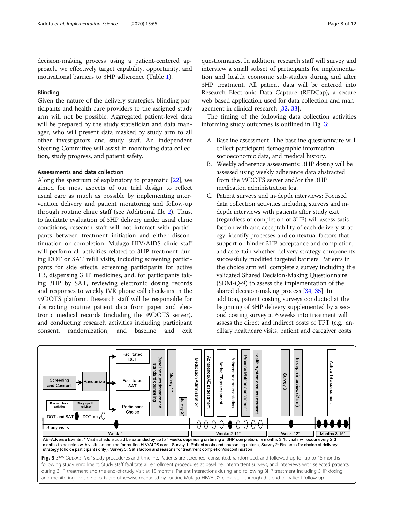decision-making process using a patient-centered approach, we effectively target capability, opportunity, and motivational barriers to 3HP adherence (Table [1\)](#page-6-0).

## Blinding

Given the nature of the delivery strategies, blinding participants and health care providers to the assigned study arm will not be possible. Aggregated patient-level data will be prepared by the study statistician and data manager, who will present data masked by study arm to all other investigators and study staff. An independent Steering Committee will assist in monitoring data collection, study progress, and patient safety.

## Assessments and data collection

Along the spectrum of explanatory to pragmatic [\[22\]](#page-11-0), we aimed for most aspects of our trial design to reflect usual care as much as possible by implementing intervention delivery and patient monitoring and follow-up through routine clinic staff (see Additional file [2\)](#page-10-0). Thus, to facilitate evaluation of 3HP delivery under usual clinic conditions, research staff will not interact with participants between treatment initiation and either discontinuation or completion. Mulago HIV/AIDS clinic staff will perform all activities related to 3HP treatment during DOT or SAT refill visits, including screening participants for side effects, screening participants for active TB, dispensing 3HP medicines, and, for participants taking 3HP by SAT, reviewing electronic dosing records and responses to weekly IVR phone call check-ins in the 99DOTS platform. Research staff will be responsible for abstracting routine patient data from paper and electronic medical records (including the 99DOTS server), and conducting research activities including participant consent, randomization, and baseline and exit

questionnaires. In addition, research staff will survey and interview a small subset of participants for implementation and health economic sub-studies during and after 3HP treatment. All patient data will be entered into Research Electronic Data Capture (REDCap), a secure web-based application used for data collection and management in clinical research [\[32](#page-11-0), [33\]](#page-11-0).

The timing of the following data collection activities informing study outcomes is outlined in Fig. 3:

- A. Baseline assessment: The baseline questionnaire will collect participant demographic information, socioeconomic data, and medical history.
- B. Weekly adherence assessments: 3HP dosing will be assessed using weekly adherence data abstracted from the 99DOTS server and/or the 3HP medication administration log.
- C. Patient surveys and in-depth interviews: Focused data collection activities including surveys and indepth interviews with patients after study exit (regardless of completion of 3HP) will assess satisfaction with and acceptability of each delivery strategy, identify processes and contextual factors that support or hinder 3HP acceptance and completion, and ascertain whether delivery strategy components successfully modified targeted barriers. Patients in the choice arm will complete a survey including the validated Shared Decision-Making Questionnaire (SDM-Q-9) to assess the implementation of the shared decision-making process [\[34,](#page-11-0) [35\]](#page-11-0). In addition, patient costing surveys conducted at the beginning of 3HP delivery supplemented by a second costing survey at 6 weeks into treatment will assess the direct and indirect costs of TPT (e.g., ancillary healthcare visits, patient and caregiver costs

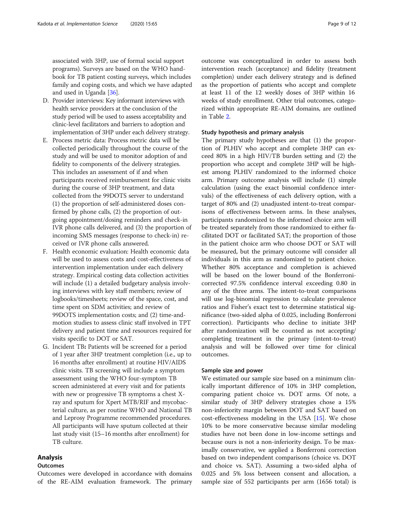associated with 3HP, use of formal social support programs). Surveys are based on the WHO handbook for TB patient costing surveys, which includes family and coping costs, and which we have adapted and used in Uganda [[36](#page-11-0)].

- D. Provider interviews: Key informant interviews with health service providers at the conclusion of the study period will be used to assess acceptability and clinic-level facilitators and barriers to adoption and implementation of 3HP under each delivery strategy.
- E. Process metric data: Process metric data will be collected periodically throughout the course of the study and will be used to monitor adoption of and fidelity to components of the delivery strategies. This includes an assessment of if and when participants received reimbursement for clinic visits during the course of 3HP treatment, and data collected from the 99DOTS server to understand (1) the proportion of self-administered doses confirmed by phone calls, (2) the proportion of outgoing appointment/dosing reminders and check-in IVR phone calls delivered, and (3) the proportion of incoming SMS messages (response to check-in) received or IVR phone calls answered.
- F. Health economic evaluation: Health economic data will be used to assess costs and cost-effectiveness of intervention implementation under each delivery strategy. Empirical costing data collection activities will include (1) a detailed budgetary analysis involving interviews with key staff members; review of logbooks/timesheets; review of the space, cost, and time spent on SDM activities; and review of 99DOTS implementation costs; and (2) time-andmotion studies to assess clinic staff involved in TPT delivery and patient time and resources required for visits specific to DOT or SAT.
- G. Incident TB: Patients will be screened for a period of 1 year after 3HP treatment completion (i.e., up to 16 months after enrollment) at routine HIV/AIDS clinic visits. TB screening will include a symptom assessment using the WHO four-symptom TB screen administered at every visit and for patients with new or progressive TB symptoms a chest Xray and sputum for Xpert MTB/RIF and mycobacterial culture, as per routine WHO and National TB and Leprosy Programme recommended procedures. All participants will have sputum collected at their last study visit (15–16 months after enrollment) for TB culture.

## Analysis

## Outcomes

Outcomes were developed in accordance with domains of the RE-AIM evaluation framework. The primary outcome was conceptualized in order to assess both intervention reach (acceptance) and fidelity (treatment completion) under each delivery strategy and is defined as the proportion of patients who accept and complete at least 11 of the 12 weekly doses of 3HP within 16 weeks of study enrollment. Other trial outcomes, categorized within appropriate RE-AIM domains, are outlined in Table [2.](#page-9-0)

## Study hypothesis and primary analysis

The primary study hypotheses are that (1) the proportion of PLHIV who accept and complete 3HP can exceed 80% in a high HIV/TB burden setting and (2) the proportion who accept and complete 3HP will be highest among PLHIV randomized to the informed choice arm. Primary outcome analysis will include (1) simple calculation (using the exact binomial confidence intervals) of the effectiveness of each delivery option, with a target of 80% and (2) unadjusted intent-to-treat comparisons of effectiveness between arms. In these analyses, participants randomized to the informed choice arm will be treated separately from those randomized to either facilitated DOT or facilitated SAT; the proportion of those in the patient choice arm who choose DOT or SAT will be measured, but the primary outcome will consider all individuals in this arm as randomized to patient choice. Whether 80% acceptance and completion is achieved will be based on the lower bound of the Bonferronicorrected 97.5% confidence interval exceeding 0.80 in any of the three arms. The intent-to-treat comparisons will use log-binomial regression to calculate prevalence ratios and Fisher's exact test to determine statistical significance (two-sided alpha of 0.025, including Bonferroni correction). Participants who decline to initiate 3HP after randomization will be counted as not accepting/ completing treatment in the primary (intent-to-treat) analysis and will be followed over time for clinical outcomes.

#### Sample size and power

We estimated our sample size based on a minimum clinically important difference of 10% in 3HP completion, comparing patient choice vs. DOT arms. Of note, a similar study of 3HP delivery strategies chose a 15% non-inferiority margin between DOT and SAT based on  $cost$ -effectiveness modeling in the USA  $[15]$  $[15]$ . We chose 10% to be more conservative because similar modeling studies have not been done in low-income settings and because ours is not a non-inferiority design. To be maximally conservative, we applied a Bonferroni correction based on two independent comparisons (choice vs. DOT and choice vs. SAT). Assuming a two-sided alpha of 0.025 and 5% loss between consent and allocation, a sample size of 552 participants per arm (1656 total) is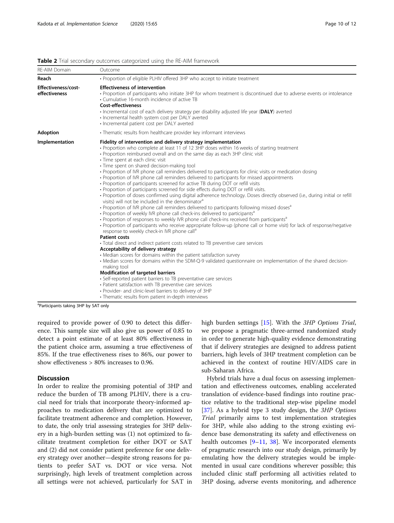| RE-AIM Domain                        | Outcome                                                                                                                                                                                                                                                                                                                                                                                                                                                                                                                                                                                                                                                                                                                                                                                                                                                                                                                                                                                                                                                                                                                                                                                                                                                                                                                                                                                                                                                                                                                                                                                                                                                                                                                                                                                                                                                                                                                                                                                                                                                                   |
|--------------------------------------|---------------------------------------------------------------------------------------------------------------------------------------------------------------------------------------------------------------------------------------------------------------------------------------------------------------------------------------------------------------------------------------------------------------------------------------------------------------------------------------------------------------------------------------------------------------------------------------------------------------------------------------------------------------------------------------------------------------------------------------------------------------------------------------------------------------------------------------------------------------------------------------------------------------------------------------------------------------------------------------------------------------------------------------------------------------------------------------------------------------------------------------------------------------------------------------------------------------------------------------------------------------------------------------------------------------------------------------------------------------------------------------------------------------------------------------------------------------------------------------------------------------------------------------------------------------------------------------------------------------------------------------------------------------------------------------------------------------------------------------------------------------------------------------------------------------------------------------------------------------------------------------------------------------------------------------------------------------------------------------------------------------------------------------------------------------------------|
| Reach                                | • Proportion of eligible PLHIV offered 3HP who accept to initiate treatment                                                                                                                                                                                                                                                                                                                                                                                                                                                                                                                                                                                                                                                                                                                                                                                                                                                                                                                                                                                                                                                                                                                                                                                                                                                                                                                                                                                                                                                                                                                                                                                                                                                                                                                                                                                                                                                                                                                                                                                               |
| Effectiveness/cost-<br>effectiveness | <b>Effectiveness of intervention</b><br>• Proportion of participants who initiate 3HP for whom treatment is discontinued due to adverse events or intolerance<br>• Cumulative 16-month incidence of active TB<br><b>Cost-effectiveness</b><br>· Incremental cost of each delivery strategy per disability adjusted life year (DALY) averted<br>· Incremental health system cost per DALY averted<br>· Incremental patient cost per DALY averted                                                                                                                                                                                                                                                                                                                                                                                                                                                                                                                                                                                                                                                                                                                                                                                                                                                                                                                                                                                                                                                                                                                                                                                                                                                                                                                                                                                                                                                                                                                                                                                                                           |
| <b>Adoption</b>                      | • Thematic results from healthcare provider key informant interviews                                                                                                                                                                                                                                                                                                                                                                                                                                                                                                                                                                                                                                                                                                                                                                                                                                                                                                                                                                                                                                                                                                                                                                                                                                                                                                                                                                                                                                                                                                                                                                                                                                                                                                                                                                                                                                                                                                                                                                                                      |
| Implementation                       | Fidelity of intervention and delivery strategy implementation<br>• Proportion who complete at least 11 of 12 3HP doses within 16 weeks of starting treatment<br>• Proportion reimbursed overall and on the same day as each 3HP clinic visit<br>• Time spent at each clinic visit<br>· Time spent on shared decision-making tool<br>• Proportion of IVR phone call reminders delivered to participants for clinic visits or medication dosing<br>• Proportion of IVR phone call reminders delivered to participants for missed appointments<br>• Proportion of participants screened for active TB during DOT or refill visits<br>• Proportion of participants screened for side effects during DOT or refill visits.<br>· Proportion of doses confirmed using digital adherence technology. Doses directly observed (i.e., during initial or refill<br>visits) will not be included in the denominator <sup>a</sup><br>• Proportion of IVR phone call reminders delivered to participants following missed doses <sup>a</sup><br>• Proportion of weekly IVR phone call check-ins delivered to participants <sup>a</sup><br>• Proportion of responses to weekly IVR phone call check-ins received from participants <sup>a</sup><br>· Proportion of participants who receive appropriate follow-up (phone call or home visit) for lack of response/negative<br>response to weekly check-in IVR phone call <sup>a</sup><br><b>Patient costs</b><br>• Total direct and indirect patient costs related to TB preventive care services<br>Acceptability of delivery strategy<br>• Median scores for domains within the patient satisfaction survey<br>• Median scores for domains within the SDM-Q-9 validated questionnaire on implementation of the shared decision-<br>making tool<br>Modification of targeted barriers<br>· Self-reported patient barriers to TB preventative care services<br>• Patient satisfaction with TB preventive care services<br>• Provider- and clinic-level barriers to delivery of 3HP<br>• Thematic results from patient in-depth interviews |

#### <span id="page-9-0"></span>Table 2 Trial secondary outcomes categorized using the RE-AIM framework

<sup>a</sup>Participants taking 3HP by SAT only

required to provide power of 0.90 to detect this difference. This sample size will also give us power of 0.85 to detect a point estimate of at least 80% effectiveness in the patient choice arm, assuming a true effectiveness of 85%. If the true effectiveness rises to 86%, our power to show effectiveness > 80% increases to 0.96.

#### **Discussion**

In order to realize the promising potential of 3HP and reduce the burden of TB among PLHIV, there is a crucial need for trials that incorporate theory-informed approaches to medication delivery that are optimized to facilitate treatment adherence and completion. However, to date, the only trial assessing strategies for 3HP delivery in a high-burden setting was (1) not optimized to facilitate treatment completion for either DOT or SAT and (2) did not consider patient preference for one delivery strategy over another—despite strong reasons for patients to prefer SAT vs. DOT or vice versa. Not surprisingly, high levels of treatment completion across all settings were not achieved, particularly for SAT in high burden settings [[15\]](#page-11-0). With the 3HP Options Trial, we propose a pragmatic three-armed randomized study in order to generate high-quality evidence demonstrating that if delivery strategies are designed to address patient barriers, high levels of 3HP treatment completion can be achieved in the context of routine HIV/AIDS care in sub-Saharan Africa.

Hybrid trials have a dual focus on assessing implementation and effectiveness outcomes, enabling accelerated translation of evidence-based findings into routine practice relative to the traditional step-wise pipeline model [[37\]](#page-11-0). As a hybrid type 3 study design, the 3HP Options Trial primarily aims to test implementation strategies for 3HP, while also adding to the strong existing evidence base demonstrating its safety and effectiveness on health outcomes  $[9-11, 38]$  $[9-11, 38]$  $[9-11, 38]$  $[9-11, 38]$  $[9-11, 38]$  $[9-11, 38]$ . We incorporated elements of pragmatic research into our study design, primarily by emulating how the delivery strategies would be implemented in usual care conditions wherever possible; this included clinic staff performing all activities related to 3HP dosing, adverse events monitoring, and adherence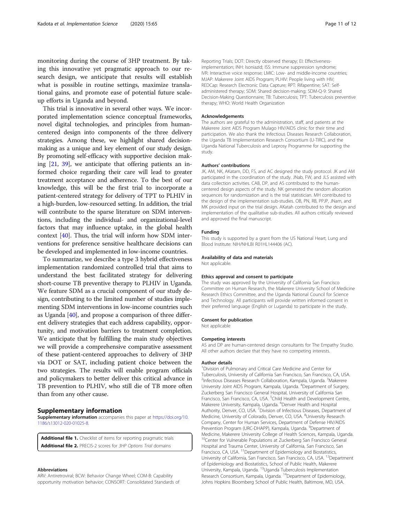<span id="page-10-0"></span>monitoring during the course of 3HP treatment. By taking this innovative yet pragmatic approach to our research design, we anticipate that results will establish what is possible in routine settings, maximize translational gains, and promote ease of potential future scaleup efforts in Uganda and beyond.

This trial is innovative in several other ways. We incorporated implementation science conceptual frameworks, novel digital technologies, and principles from humancentered design into components of the three delivery strategies. Among these, we highlight shared decisionmaking as a unique and key element of our study design. By promoting self-efficacy with supportive decision making [\[21,](#page-11-0) [39](#page-11-0)], we anticipate that offering patients an informed choice regarding their care will lead to greater treatment acceptance and adherence. To the best of our knowledge, this will be the first trial to incorporate a patient-centered strategy for delivery of TPT to PLHIV in a high-burden, low-resourced setting. In addition, the trial will contribute to the sparse literature on SDM interventions, including the individual- and organizational-level factors that may influence uptake, in the global health context [\[40\]](#page-11-0). Thus, the trial will inform how SDM interventions for preference sensitive healthcare decisions can be developed and implemented in low-income countries.

To summarize, we describe a type 3 hybrid effectiveness implementation randomized controlled trial that aims to understand the best facilitated strategy for delivering short-course TB preventive therapy to PLHIV in Uganda. We feature SDM as a crucial component of our study design, contributing to the limited number of studies implementing SDM interventions in low-income countries such as Uganda [\[40](#page-11-0)], and propose a comparison of three different delivery strategies that each address capability, opportunity, and motivation barriers to treatment completion. We anticipate that by fulfilling the main study objectives we will provide a comprehensive comparative assessment of these patient-centered approaches to delivery of 3HP via DOT or SAT, including patient choice between the two strategies. The results will enable program officials and policymakers to better deliver this critical advance in TB prevention to PLHIV, who still die of TB more often than from any other cause.

#### Supplementary information

Supplementary information accompanies this paper at [https://doi.org/10.](https://doi.org/10.1186/s13012-020-01025-8) [1186/s13012-020-01025-8](https://doi.org/10.1186/s13012-020-01025-8).

Additional file 1. Checklist of items for reporting pragmatic trials Additional file 2. PRECIS-2 scores for 3HP Options Trial domains

#### Abbreviations

ARV: Antiretroviral; BCW: Behavior Change Wheel; COM-B: Capability opportunity motivation behavior; CONSORT: Consolidated Standards of

Reporting Trials; DOT: Directly observed therapy; EI: Effectivenessimplementation; INH: Isoniazid; ISS: Immune suppression syndrome; IVR: Interactive voice response; LMIC: Low- and middle-income countries; MJAP: Makerere Joint AIDS Program; PLHIV: People living with HIV; REDCap: Research Electronic Data Capture; RPT: Rifapentine; SAT: Selfadministered therapy; SDM: Shared decision-making; SDM-Q-9: Shared Decision-Making Questionnaire; TB: Tuberculosis; TPT: Tuberculosis preventive therapy; WHO: World Health Organization

## Acknowledgements

The authors are grateful to the administration, staff, and patients at the Makerere Joint AIDS Program Mulago HIV/AIDS clinic for their time and participation. We also thank the Infectious Diseases Research Collaboration, the Uganda TB Implementation Research Consortium (U-TIRC), and the Uganda National Tuberculosis and Leprosy Programme for supporting the study.

#### Authors' contributions

JK, AM, NK, AKatam, DD, FS, and AC designed the study protocol. JK and AM participated in the coordination of the study. JNab, FW, and JLS assisted with data collection activities. CAB, DP, and AS contributed to the humancentered design aspects of the study. NK generated the random allocation sequences for randomization and is the trial statistician. MH contributed to the design of the implementation sub-studies. OB, PN, RB, PPJP, JNam, and MK provided input on the trial design. AKatah contributed to the design and implementation of the qualitative sub-studies. All authors critically reviewed and approved the final manuscript.

#### Funding

This study is supported by a grant from the US National Heart, Lung and Blood Institute: NIH/NHLBI R01HL144406 (AC).

#### Availability of data and materials

Not applicable.

#### Ethics approval and consent to participate

The study was approved by the University of California San Francisco Committee on Human Research, the Makerere University School of Medicine Research Ethics Committee, and the Uganda National Council for Science and Technology. All participants will provide written informed consent in their preferred language (English or Luganda) to participate in the study.

#### Consent for publication

Not applicable

#### Competing interests

AS and DP are human-centered design consultants for The Empathy Studio. All other authors declare that they have no competing interests.

#### Author details

<sup>1</sup> Division of Pulmonary and Critical Care Medicine and Center for Tuberculosis, University of California San Francisco, San Francisco, CA, USA. <sup>2</sup>Infectious Diseases Research Collaboration, Kampala, Uganda. <sup>3</sup>Makerere University Joint AIDS Program, Kampala, Uganda. <sup>4</sup>Department of Surgery, Zuckerberg San Francisco General Hospital, University of California San Francisco, San Francisco, CA, USA. <sup>5</sup>Child Health and Development Centre, Makerere University, Kampala, Uganda. <sup>6</sup>Denver Health and Hospital Authority, Denver, CO, USA. <sup>7</sup> Division of Infectious Diseases, Department of Medicine, University of Colorado, Denver, CO, USA. <sup>8</sup>University Research Company, Center for Human Services, Department of Defense HIV/AIDS Prevention Program (URC-DHAPP), Kampala, Uganda. <sup>9</sup>Department of Medicine, Makerere University College of Health Sciences, Kampala, Uganda. <sup>10</sup>Center for Vulnerable Populations at Zuckerberg San Francisco General Hospital and Trauma Center, University of California, San Francisco, San Francisco, CA, USA. 11Department of Epidemiology and Biostatistics, University of California, San Francisco, San Francisco, CA, USA. 12Department of Epidemiology and Biostatistics, School of Public Health, Makerere University, Kampala, Uganda. 13Uganda Tuberculosis Implementation Research Consortium, Kampala, Uganda. 14Department of Epidemiology, Johns Hopkins Bloomberg School of Public Health, Baltimore, MD, USA.